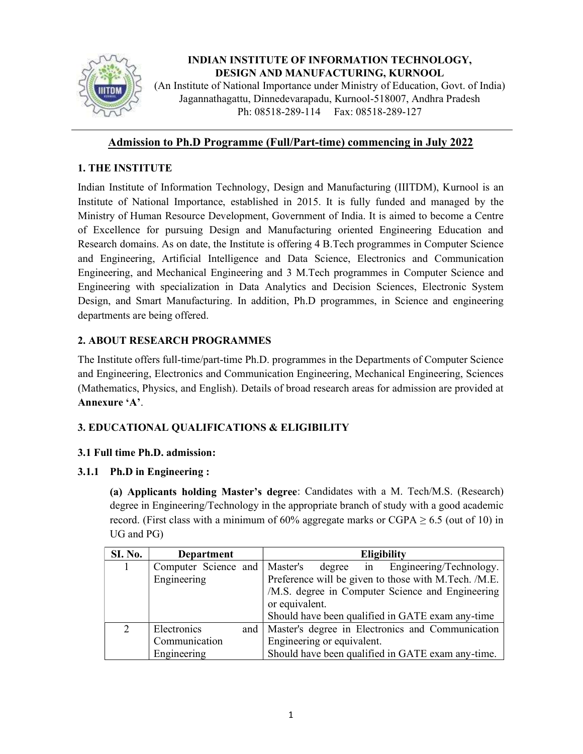

# INDIAN INSTITUTE OF INFORMATION TECHNOLOGY, DESIGN AND MANUFACTURING, KURNOOL

(An Institute of National Importance under Ministry of Education, Govt. of India) Jagannathagattu, Dinnedevarapadu, Kurnool-518007, Andhra Pradesh Ph: 08518-289-114 Fax: 08518-289-127

## Admission to Ph.D Programme (Full/Part-time) commencing in July 2022

## 1. THE INSTITUTE

Indian Institute of Information Technology, Design and Manufacturing (IIITDM), Kurnool is an Institute of National Importance, established in 2015. It is fully funded and managed by the Ministry of Human Resource Development, Government of India. It is aimed to become a Centre of Excellence for pursuing Design and Manufacturing oriented Engineering Education and Research domains. As on date, the Institute is offering 4 B.Tech programmes in Computer Science and Engineering, Artificial Intelligence and Data Science, Electronics and Communication Engineering, and Mechanical Engineering and 3 M.Tech programmes in Computer Science and Engineering with specialization in Data Analytics and Decision Sciences, Electronic System Design, and Smart Manufacturing. In addition, Ph.D programmes, in Science and engineering departments are being offered.

# 2. ABOUT RESEARCH PROGRAMMES

The Institute offers full-time/part-time Ph.D. programmes in the Departments of Computer Science and Engineering, Electronics and Communication Engineering, Mechanical Engineering, Sciences (Mathematics, Physics, and English). Details of broad research areas for admission are provided at Annexure 'A'.

## 3. EDUCATIONAL QUALIFICATIONS & ELIGIBILITY

## 3.1 Full time Ph.D. admission:

## 3.1.1 Ph.D in Engineering :

(a) Applicants holding Master's degree: Candidates with a M. Tech/M.S. (Research) degree in Engineering/Technology in the appropriate branch of study with a good academic record. (First class with a minimum of 60% aggregate marks or CGPA  $\geq$  6.5 (out of 10) in UG and PG)

| <b>SI. No.</b>              | <b>Department</b>               |     | Eligibility                                          |  |  |
|-----------------------------|---------------------------------|-----|------------------------------------------------------|--|--|
| 1                           | Computer Science and   Master's |     | Engineering/Technology.<br>degree in                 |  |  |
|                             | Engineering                     |     | Preference will be given to those with M.Tech. /M.E. |  |  |
|                             |                                 |     | /M.S. degree in Computer Science and Engineering     |  |  |
|                             |                                 |     | or equivalent.                                       |  |  |
|                             |                                 |     | Should have been qualified in GATE exam any-time     |  |  |
| $\mathcal{D}_{\mathcal{L}}$ | Electronics                     | and | Master's degree in Electronics and Communication     |  |  |
|                             | Communication                   |     | Engineering or equivalent.                           |  |  |
|                             | Engineering                     |     | Should have been qualified in GATE exam any-time.    |  |  |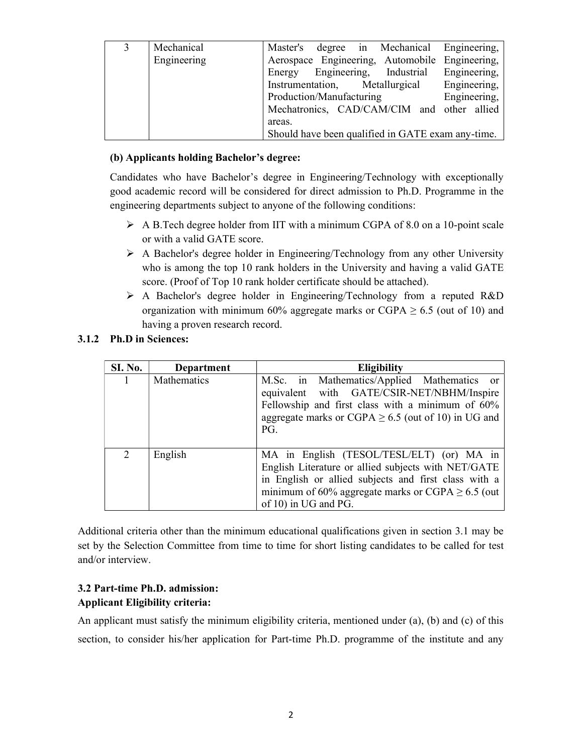| 3 | Mechanical  | Master's degree in Mechanical Engineering,        |
|---|-------------|---------------------------------------------------|
|   | Engineering | Aerospace Engineering, Automobile Engineering,    |
|   |             | Energy Engineering, Industrial<br>Engineering,    |
|   |             | Instrumentation, Metallurgical Engineering,       |
|   |             | Engineering,<br>Production/Manufacturing          |
|   |             | Mechatronics, CAD/CAM/CIM and other allied        |
|   |             | areas.                                            |
|   |             | Should have been qualified in GATE exam any-time. |

### (b) Applicants holding Bachelor's degree:

Candidates who have Bachelor's degree in Engineering/Technology with exceptionally good academic record will be considered for direct admission to Ph.D. Programme in the engineering departments subject to anyone of the following conditions:

- $\triangleright$  A B. Tech degree holder from IIT with a minimum CGPA of 8.0 on a 10-point scale or with a valid GATE score.
- $\triangleright$  A Bachelor's degree holder in Engineering/Technology from any other University who is among the top 10 rank holders in the University and having a valid GATE score. (Proof of Top 10 rank holder certificate should be attached).
- A Bachelor's degree holder in Engineering/Technology from a reputed R&D organization with minimum 60% aggregate marks or CGPA  $\geq$  6.5 (out of 10) and having a proven research record.

### 3.1.2 Ph.D in Sciences:

| <b>SI. No.</b> | Department         | <b>Eligibility</b>                                                                                                                                                                                                                         |
|----------------|--------------------|--------------------------------------------------------------------------------------------------------------------------------------------------------------------------------------------------------------------------------------------|
|                | <b>Mathematics</b> | M.Sc. in Mathematics/Applied Mathematics or<br>equivalent with GATE/CSIR-NET/NBHM/Inspire<br>Fellowship and first class with a minimum of 60%<br>aggregate marks or CGPA $\geq$ 6.5 (out of 10) in UG and<br>PG.                           |
| $\mathcal{D}$  | English            | MA in English (TESOL/TESL/ELT) (or) MA in<br>English Literature or allied subjects with NET/GATE<br>in English or allied subjects and first class with a<br>minimum of 60% aggregate marks or CGPA $\geq$ 6.5 (out<br>of 10) in UG and PG. |

Additional criteria other than the minimum educational qualifications given in section 3.1 may be set by the Selection Committee from time to time for short listing candidates to be called for test and/or interview.

### 3.2 Part-time Ph.D. admission: Applicant Eligibility criteria:

An applicant must satisfy the minimum eligibility criteria, mentioned under (a), (b) and (c) of this section, to consider his/her application for Part-time Ph.D. programme of the institute and any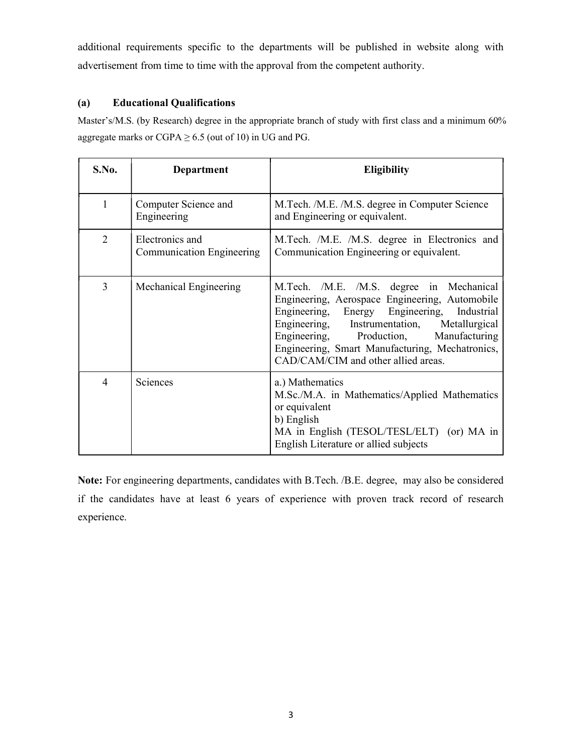additional requirements specific to the departments will be published in website along with advertisement from time to time with the approval from the competent authority.

### (a) Educational Qualifications

Master's/M.S. (by Research) degree in the appropriate branch of study with first class and a minimum 60% aggregate marks or CGPA  $\geq$  6.5 (out of 10) in UG and PG.

| S.No.          | Department                                          | <b>Eligibility</b>                                                                                                                                                                                                                                                                                                              |
|----------------|-----------------------------------------------------|---------------------------------------------------------------------------------------------------------------------------------------------------------------------------------------------------------------------------------------------------------------------------------------------------------------------------------|
| 1              | Computer Science and<br>Engineering                 | M.Tech. /M.E. /M.S. degree in Computer Science<br>and Engineering or equivalent.                                                                                                                                                                                                                                                |
| $\overline{2}$ | Electronics and<br><b>Communication Engineering</b> | M.Tech. /M.E. /M.S. degree in Electronics and<br>Communication Engineering or equivalent.                                                                                                                                                                                                                                       |
| 3              | Mechanical Engineering                              | M.Tech. /M.E. /M.S. degree in Mechanical<br>Engineering, Aerospace Engineering, Automobile<br>Engineering, Energy Engineering, Industrial<br>Engineering, Instrumentation, Metallurgical<br>Production, Manufacturing<br>Engineering,<br>Engineering, Smart Manufacturing, Mechatronics,<br>CAD/CAM/CIM and other allied areas. |
| 4              | Sciences                                            | a.) Mathematics<br>M.Sc./M.A. in Mathematics/Applied Mathematics<br>or equivalent<br>b) English<br>MA in English (TESOL/TESL/ELT) (or) MA in<br>English Literature or allied subjects                                                                                                                                           |

Note: For engineering departments, candidates with B.Tech. /B.E. degree, may also be considered if the candidates have at least 6 years of experience with proven track record of research experience.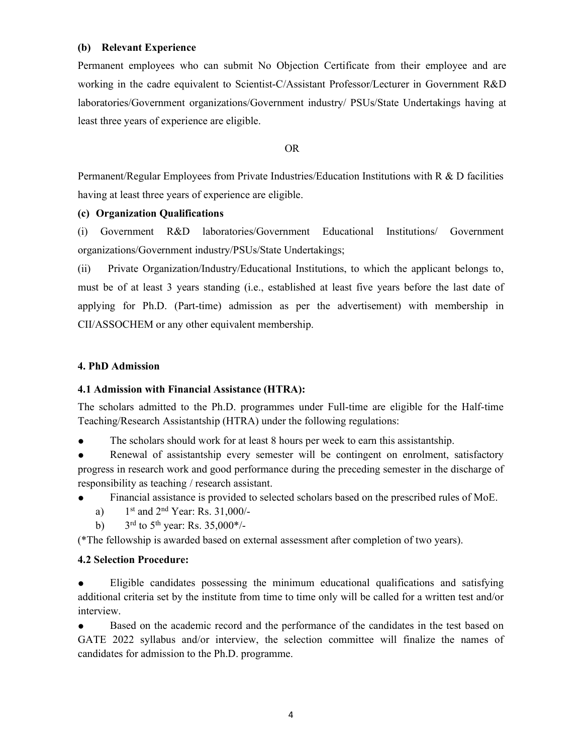### (b) Relevant Experience

Permanent employees who can submit No Objection Certificate from their employee and are working in the cadre equivalent to Scientist-C/Assistant Professor/Lecturer in Government R&D laboratories/Government organizations/Government industry/ PSUs/State Undertakings having at least three years of experience are eligible.

OR

 Permanent/Regular Employees from Private Industries/Education Institutions with R & D facilities having at least three years of experience are eligible.

### (c) Organization Qualifications

(i) Government R&D laboratories/Government Educational Institutions/ Government organizations/Government industry/PSUs/State Undertakings;

(ii) Private Organization/Industry/Educational Institutions, to which the applicant belongs to, must be of at least 3 years standing (i.e., established at least five years before the last date of applying for Ph.D. (Part-time) admission as per the advertisement) with membership in CII/ASSOCHEM or any other equivalent membership.

### 4. PhD Admission

### 4.1 Admission with Financial Assistance (HTRA):

The scholars admitted to the Ph.D. programmes under Full-time are eligible for the Half-time Teaching/Research Assistantship (HTRA) under the following regulations:

● The scholars should work for at least 8 hours per week to earn this assistantship.

Renewal of assistantship every semester will be contingent on enrolment, satisfactory progress in research work and good performance during the preceding semester in the discharge of responsibility as teaching / research assistant.

- Financial assistance is provided to selected scholars based on the prescribed rules of MoE.
	- a)  $1^{st}$  and  $2^{nd}$  Year: Rs. 31,000/-
	- b)  $3^{\text{rd}}$  to  $5^{\text{th}}$  year: Rs. 35,000\*/-

(\*The fellowship is awarded based on external assessment after completion of two years).

### 4.2 Selection Procedure:

Eligible candidates possessing the minimum educational qualifications and satisfying additional criteria set by the institute from time to time only will be called for a written test and/or interview.

Based on the academic record and the performance of the candidates in the test based on GATE 2022 syllabus and/or interview, the selection committee will finalize the names of candidates for admission to the Ph.D. programme.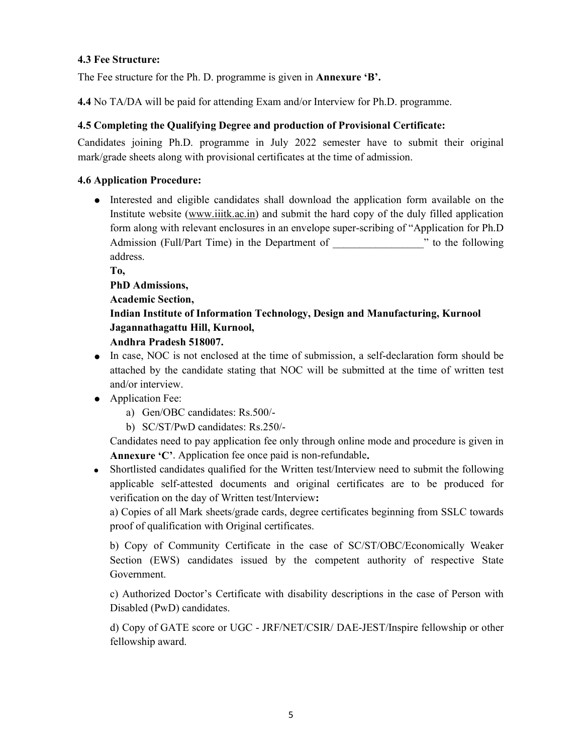### 4.3 Fee Structure:

The Fee structure for the Ph. D. programme is given in **Annexure 'B'.** 

4.4 No TA/DA will be paid for attending Exam and/or Interview for Ph.D. programme.

### 4.5 Completing the Qualifying Degree and production of Provisional Certificate:

Candidates joining Ph.D. programme in July 2022 semester have to submit their original mark/grade sheets along with provisional certificates at the time of admission.

### 4.6 Application Procedure:

● Interested and eligible candidates shall download the application form available on the Institute website (www.iiitk.ac.in) and submit the hard copy of the duly filled application form along with relevant enclosures in an envelope super-scribing of "Application for Ph.D Admission (Full/Part Time) in the Department of  $\cdot$   $\cdot$  to the following address.

To,

PhD Admissions,

Academic Section,

# Indian Institute of Information Technology, Design and Manufacturing, Kurnool Jagannathagattu Hill, Kurnool,

### Andhra Pradesh 518007.

- In case, NOC is not enclosed at the time of submission, a self-declaration form should be attached by the candidate stating that NOC will be submitted at the time of written test and/or interview.
- Application Fee:
	- a) Gen/OBC candidates: Rs.500/-
	- b) SC/ST/PwD candidates: Rs.250/-

Candidates need to pay application fee only through online mode and procedure is given in Annexure 'C'. Application fee once paid is non-refundable.

 Shortlisted candidates qualified for the Written test/Interview need to submit the following applicable self-attested documents and original certificates are to be produced for verification on the day of Written test/Interview:

a) Copies of all Mark sheets/grade cards, degree certificates beginning from SSLC towards proof of qualification with Original certificates.

b) Copy of Community Certificate in the case of SC/ST/OBC/Economically Weaker Section (EWS) candidates issued by the competent authority of respective State Government.

c) Authorized Doctor's Certificate with disability descriptions in the case of Person with Disabled (PwD) candidates.

d) Copy of GATE score or UGC - JRF/NET/CSIR/ DAE-JEST/Inspire fellowship or other fellowship award.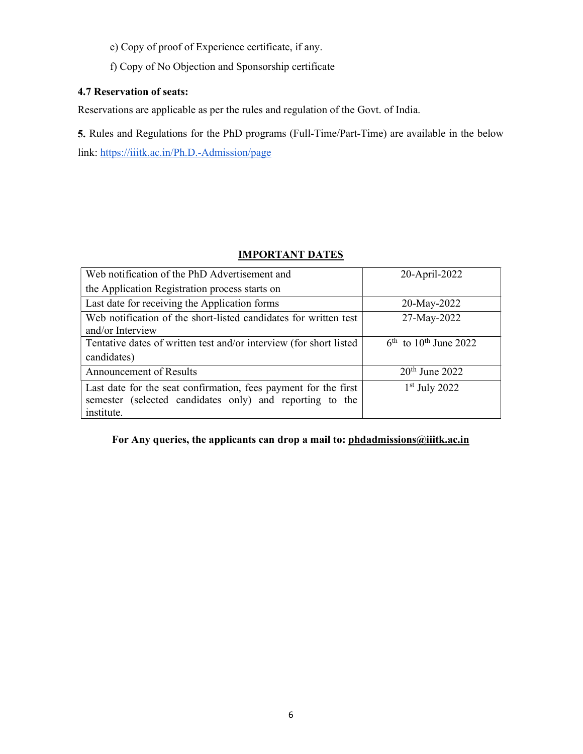- e) Copy of proof of Experience certificate, if any.
- f) Copy of No Objection and Sponsorship certificate

### 4.7 Reservation of seats:

Reservations are applicable as per the rules and regulation of the Govt. of India.

5. Rules and Regulations for the PhD programs (Full-Time/Part-Time) are available in the below link: https://iiitk.ac.in/Ph.D.-Admission/page

## IMPORTANT DATES

| Web notification of the PhD Advertisement and                      | 20-April-2022                          |
|--------------------------------------------------------------------|----------------------------------------|
| the Application Registration process starts on                     |                                        |
| Last date for receiving the Application forms                      | 20-May-2022                            |
| Web notification of the short-listed candidates for written test   | 27-May-2022                            |
| and/or Interview                                                   |                                        |
| Tentative dates of written test and/or interview (for short listed | $6^{th}$ to 10 <sup>th</sup> June 2022 |
| candidates)                                                        |                                        |
| <b>Announcement of Results</b>                                     | $20th$ June 2022                       |
| Last date for the seat confirmation, fees payment for the first    | $1st$ July 2022                        |
| semester (selected candidates only) and reporting to the           |                                        |
| institute.                                                         |                                        |

For Any queries, the applicants can drop a mail to: phdadmissions@iiitk.ac.in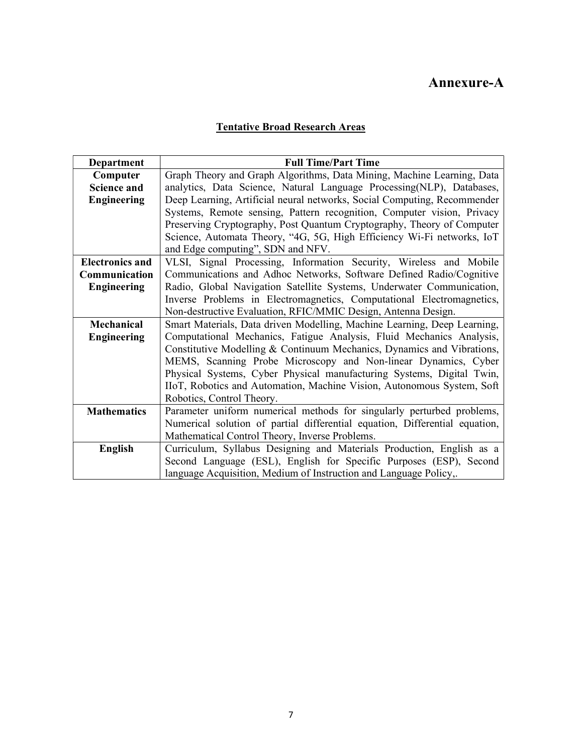# Annexure-A

# Tentative Broad Research Areas

| Department             | <b>Full Time/Part Time</b>                                                  |
|------------------------|-----------------------------------------------------------------------------|
| Computer               | Graph Theory and Graph Algorithms, Data Mining, Machine Learning, Data      |
| <b>Science and</b>     | analytics, Data Science, Natural Language Processing(NLP), Databases,       |
| <b>Engineering</b>     | Deep Learning, Artificial neural networks, Social Computing, Recommender    |
|                        | Systems, Remote sensing, Pattern recognition, Computer vision, Privacy      |
|                        | Preserving Cryptography, Post Quantum Cryptography, Theory of Computer      |
|                        | Science, Automata Theory, "4G, 5G, High Efficiency Wi-Fi networks, IoT      |
|                        | and Edge computing", SDN and NFV.                                           |
| <b>Electronics and</b> | VLSI, Signal Processing, Information Security, Wireless and Mobile          |
| Communication          | Communications and Adhoc Networks, Software Defined Radio/Cognitive         |
| <b>Engineering</b>     | Radio, Global Navigation Satellite Systems, Underwater Communication,       |
|                        | Inverse Problems in Electromagnetics, Computational Electromagnetics,       |
|                        | Non-destructive Evaluation, RFIC/MMIC Design, Antenna Design.               |
| Mechanical             | Smart Materials, Data driven Modelling, Machine Learning, Deep Learning,    |
| <b>Engineering</b>     | Computational Mechanics, Fatigue Analysis, Fluid Mechanics Analysis,        |
|                        | Constitutive Modelling & Continuum Mechanics, Dynamics and Vibrations,      |
|                        | MEMS, Scanning Probe Microscopy and Non-linear Dynamics, Cyber              |
|                        | Physical Systems, Cyber Physical manufacturing Systems, Digital Twin,       |
|                        | IIoT, Robotics and Automation, Machine Vision, Autonomous System, Soft      |
|                        | Robotics, Control Theory.                                                   |
| <b>Mathematics</b>     | Parameter uniform numerical methods for singularly perturbed problems,      |
|                        | Numerical solution of partial differential equation, Differential equation, |
|                        | Mathematical Control Theory, Inverse Problems.                              |
| <b>English</b>         | Curriculum, Syllabus Designing and Materials Production, English as a       |
|                        | Second Language (ESL), English for Specific Purposes (ESP), Second          |
|                        | language Acquisition, Medium of Instruction and Language Policy,.           |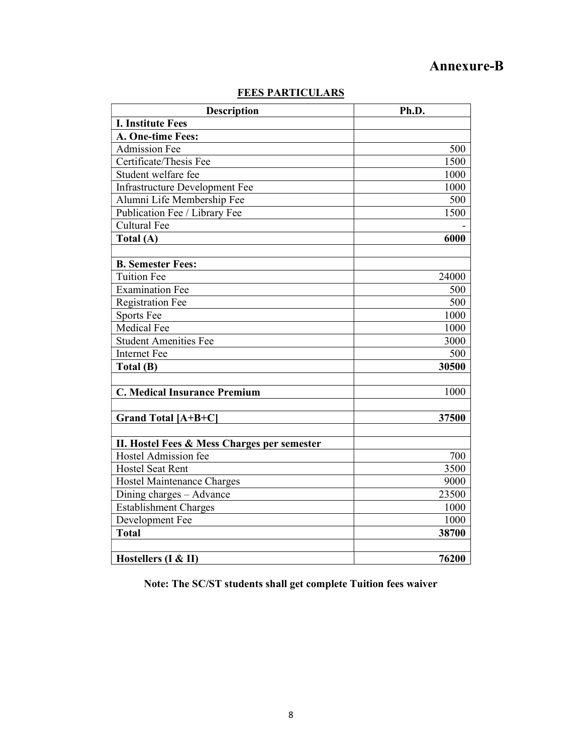# Annexure-B

| <b>Description</b>                          | Ph.D. |
|---------------------------------------------|-------|
| <b>I. Institute Fees</b>                    |       |
| A. One-time Fees:                           |       |
| <b>Admission Fee</b>                        | 500   |
| Certificate/Thesis Fee                      | 1500  |
| Student welfare fee                         | 1000  |
| <b>Infrastructure Development Fee</b>       | 1000  |
| Alumni Life Membership Fee                  | 500   |
| Publication Fee / Library Fee               | 1500  |
| <b>Cultural Fee</b>                         |       |
| Total (A)                                   | 6000  |
|                                             |       |
| <b>B. Semester Fees:</b>                    |       |
| <b>Tuition Fee</b>                          | 24000 |
| <b>Examination Fee</b>                      | 500   |
| <b>Registration Fee</b>                     | 500   |
| Sports Fee                                  | 1000  |
| Medical Fee                                 | 1000  |
| <b>Student Amenities Fee</b>                | 3000  |
| <b>Internet Fee</b>                         | 500   |
| Total (B)                                   | 30500 |
|                                             |       |
| <b>C. Medical Insurance Premium</b>         | 1000  |
|                                             |       |
| Grand Total [A+B+C]                         | 37500 |
|                                             |       |
| II. Hostel Fees & Mess Charges per semester |       |
| Hostel Admission fee                        | 700   |
| <b>Hostel Seat Rent</b>                     | 3500  |
| Hostel Maintenance Charges                  | 9000  |
| Dining charges - Advance                    | 23500 |
| <b>Establishment Charges</b>                | 1000  |
| Development Fee                             | 1000  |
| <b>Total</b>                                | 38700 |
|                                             |       |
| Hostellers (I & II)                         | 76200 |

# FEES PARTICULARS

Note: The SC/ST students shall get complete Tuition fees waiver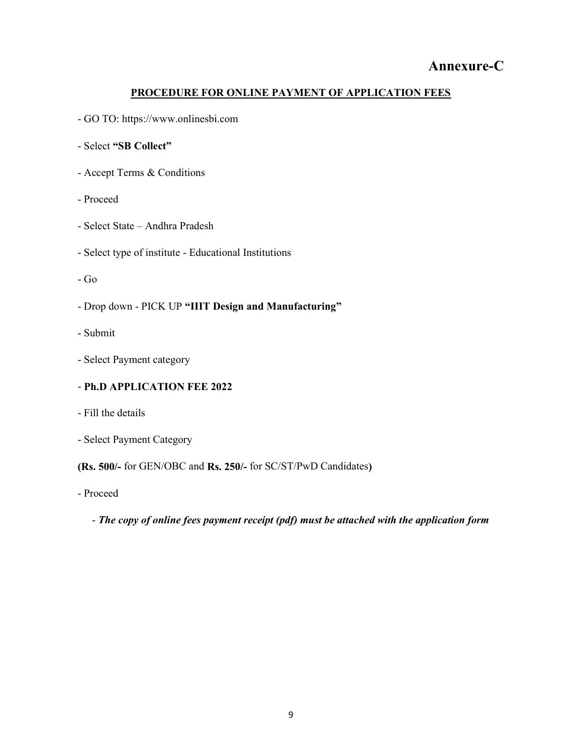# Annexure-C

### PROCEDURE FOR ONLINE PAYMENT OF APPLICATION FEES

- GO TO: https://www.onlinesbi.com
- Select "SB Collect"
- Accept Terms & Conditions
- Proceed
- Select State Andhra Pradesh
- Select type of institute Educational Institutions
- Go
- Drop down PICK UP "IIIT Design and Manufacturing"
- Submit
- Select Payment category

### - Ph.D APPLICATION FEE 2022

- Fill the details
- Select Payment Category

### (Rs. 500/- for GEN/OBC and Rs. 250/- for SC/ST/PwD Candidates)

- Proceed
	- The copy of online fees payment receipt (pdf) must be attached with the application form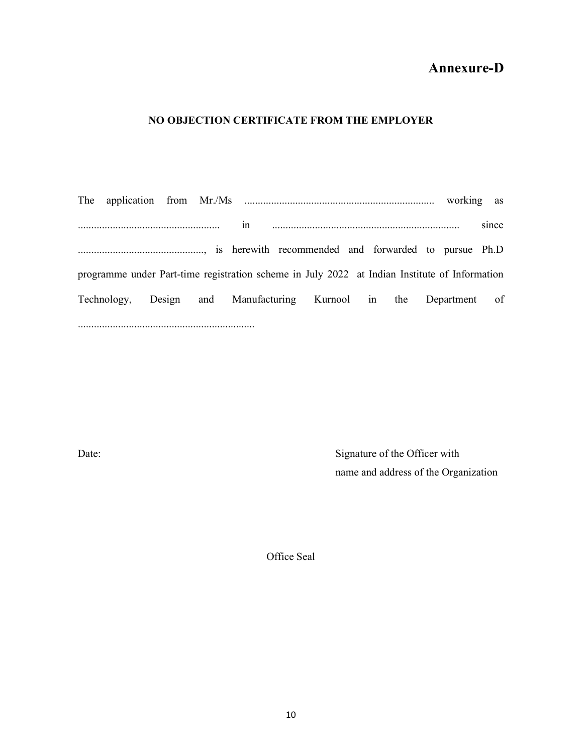# Annexure-D

### NO OBJECTION CERTIFICATE FROM THE EMPLOYER

The application from Mr./Ms ....................................................................... working as ..................................................... in ...................................................................... since ..............................................., is herewith recommended and forwarded to pursue Ph.D programme under Part-time registration scheme in July 2022 at Indian Institute of Information Technology, Design and Manufacturing Kurnool in the Department of ..................................................................

Date: Signature of the Officer with name and address of the Organization

Office Seal